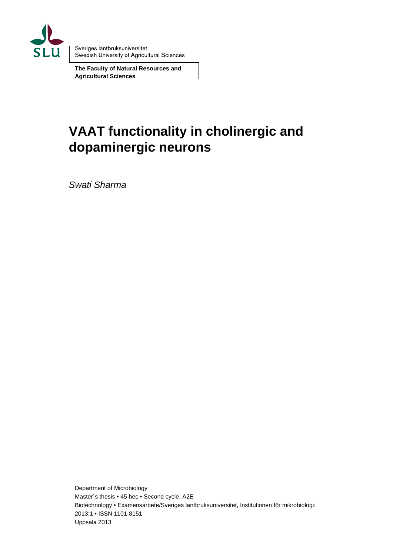

Sveriges lantbruksuniversitet Swedish University of Agricultural Sciences

**The Faculty of Natural Resources and Agricultural Sciences** 

# **VAAT functionality in cholinergic and dopaminergic neurons**

*Swati Sharma* 

Department of Microbiology Master´s thesis • 45 hec • Second cycle, A2E Biotechnology • Examensarbete/Sveriges lantbruksuniversitet, Institutionen för mikrobiologi: 2013:1 • ISSN 1101-8151 Uppsala 2013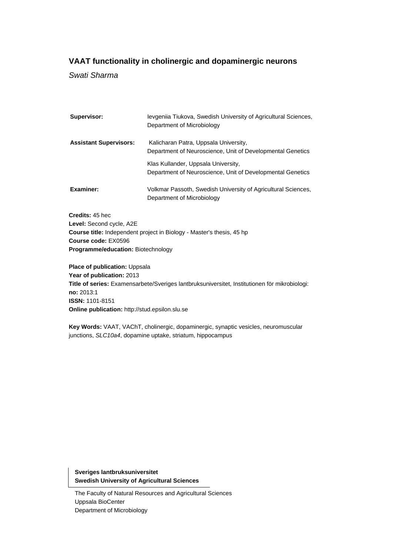## **VAAT functionality in cholinergic and dopaminergic neurons**

*Swati Sharma* 

| Supervisor:                        | levgeniia Tiukova, Swedish University of Agricultural Sciences,<br>Department of Microbiology       |  |
|------------------------------------|-----------------------------------------------------------------------------------------------------|--|
| <b>Assistant Supervisors:</b>      | Kalicharan Patra, Uppsala University,<br>Department of Neuroscience, Unit of Developmental Genetics |  |
|                                    | Klas Kullander, Uppsala University,<br>Department of Neuroscience, Unit of Developmental Genetics   |  |
| Examiner:                          | Volkmar Passoth, Swedish University of Agricultural Sciences,<br>Department of Microbiology         |  |
| Credits: 45 hec                    |                                                                                                     |  |
| Level: Second cycle, A2E           |                                                                                                     |  |
|                                    | <b>Course title:</b> Independent project in Biology - Master's thesis, 45 hp                        |  |
| Course code: EX0596                |                                                                                                     |  |
| Programme/education: Biotechnology |                                                                                                     |  |
| Place of publication: Uppsala      |                                                                                                     |  |
| Year of publication: 2013          |                                                                                                     |  |
|                                    | Title of series: Examensarbete/Sveriges lantbruksuniversitet, Institutionen för mikrobiologi:       |  |
| no: 2013:1                         |                                                                                                     |  |
| <b>ISSN: 1101-8151</b>             |                                                                                                     |  |

**Online publication:** http://stud.epsilon.slu.se

**Key Words:** VAAT, VAChT, cholinergic, dopaminergic, synaptic vesicles, neuromuscular junctions, *SLC10a4*, dopamine uptake, striatum, hippocampus

**Sveriges lantbruksuniversitet Swedish University of Agricultural Sciences** 

The Faculty of Natural Resources and Agricultural Sciences Uppsala BioCenter Department of Microbiology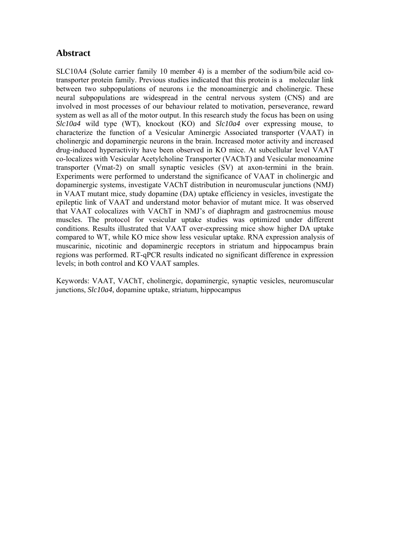## **Abstract**

SLC10A4 (Solute carrier family 10 member 4) is a member of the sodium/bile acid cotransporter protein family. Previous studies indicated that this protein is a molecular link between two subpopulations of neurons i.e the monoaminergic and cholinergic. These neural subpopulations are widespread in the central nervous system (CNS) and are involved in most processes of our behaviour related to motivation, perseverance, reward system as well as all of the motor output. In this research study the focus has been on using *Slc10a4* wild type (WT), knockout (KO) and *Slc10a4* over expressing mouse, to characterize the function of a Vesicular Aminergic Associated transporter (VAAT) in cholinergic and dopaminergic neurons in the brain. Increased motor activity and increased drug-induced hyperactivity have been observed in KO mice. At subcellular level VAAT co-localizes with Vesicular Acetylcholine Transporter (VAChT) and Vesicular monoamine transporter (Vmat-2) on small synaptic vesicles (SV) at axon-termini in the brain. Experiments were performed to understand the significance of VAAT in cholinergic and dopaminergic systems, investigate VAChT distribution in neuromuscular junctions (NMJ) in VAAT mutant mice, study dopamine (DA) uptake efficiency in vesicles, investigate the epileptic link of VAAT and understand motor behavior of mutant mice. It was observed that VAAT colocalizes with VAChT in NMJ's of diaphragm and gastrocnemius mouse muscles. The protocol for vesicular uptake studies was optimized under different conditions. Results illustrated that VAAT over-expressing mice show higher DA uptake compared to WT, while KO mice show less vesicular uptake. RNA expression analysis of muscarinic, nicotinic and dopaminergic receptors in striatum and hippocampus brain regions was performed. RT-qPCR results indicated no significant difference in expression levels; in both control and KO VAAT samples.

Keywords: VAAT, VAChT, cholinergic, dopaminergic, synaptic vesicles, neuromuscular junctions, *Slc10a4*, dopamine uptake, striatum, hippocampus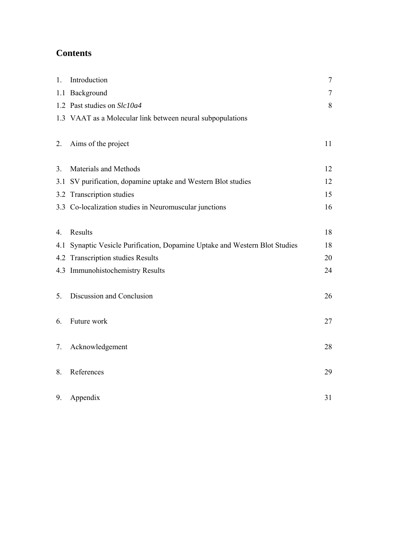# **Contents**

| 1.             | Introduction                                                            | $\overline{7}$ |
|----------------|-------------------------------------------------------------------------|----------------|
|                | 1.1 Background                                                          | $\overline{7}$ |
|                | 1.2 Past studies on Slc10a4                                             | 8              |
|                | 1.3 VAAT as a Molecular link between neural subpopulations              |                |
| 2.             | Aims of the project                                                     | 11             |
| 3 <sub>1</sub> | Materials and Methods                                                   | 12             |
| 3.1            | SV purification, dopamine uptake and Western Blot studies               | 12             |
|                | 3.2 Transcription studies                                               | 15             |
|                | 3.3 Co-localization studies in Neuromuscular junctions                  | 16             |
| 4.             | Results                                                                 | 18             |
| 4.1            | Synaptic Vesicle Purification, Dopamine Uptake and Western Blot Studies | 18             |
|                | 4.2 Transcription studies Results                                       | 20             |
|                | 4.3 Immunohistochemistry Results                                        | 24             |
| 5.             | Discussion and Conclusion                                               | 26             |
| 6.             | Future work                                                             | 27             |
| 7.             | Acknowledgement                                                         | 28             |
| 8.             | References                                                              | 29             |
| 9.             | Appendix                                                                | 31             |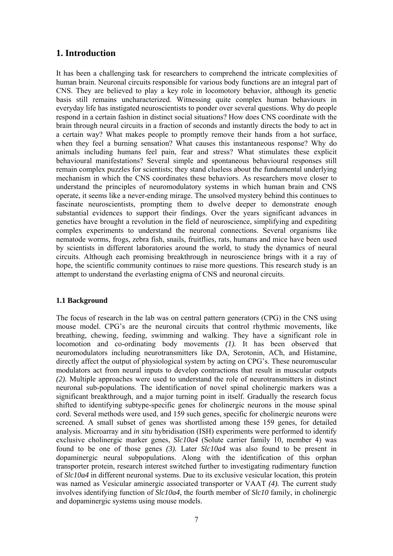## **1. Introduction**

It has been a challenging task for researchers to comprehend the intricate complexities of human brain. Neuronal circuits responsible for various body functions are an integral part of CNS. They are believed to play a key role in locomotory behavior, although its genetic basis still remains uncharacterized. Witnessing quite complex human behaviours in everyday life has instigated neuroscientists to ponder over several questions. Why do people respond in a certain fashion in distinct social situations? How does CNS coordinate with the brain through neural circuits in a fraction of seconds and instantly directs the body to act in a certain way? What makes people to promptly remove their hands from a hot surface, when they feel a burning sensation? What causes this instantaneous response? Why do animals including humans feel pain, fear and stress? What stimulates these explicit behavioural manifestations? Several simple and spontaneous behavioural responses still remain complex puzzles for scientists; they stand clueless about the fundamental underlying mechanism in which the CNS coordinates these behaviors. As researchers move closer to understand the principles of neuromodulatory systems in which human brain and CNS operate, it seems like a never-ending mirage. The unsolved mystery behind this continues to fascinate neuroscientists, prompting them to dwelve deeper to demonstrate enough substantial evidences to support their findings. Over the years significant advances in genetics have brought a revolution in the field of neuroscience, simplifying and expediting complex experiments to understand the neuronal connections. Several organisms like nematode worms, frogs, zebra fish, snails, fruitflies, rats, humans and mice have been used by scientists in different laboratories around the world, to study the dynamics of neural circuits. Although each promising breakthrough in neuroscience brings with it a ray of hope, the scientific community continues to raise more questions. This research study is an attempt to understand the everlasting enigma of CNS and neuronal circuits.

#### **1.1 Background**

The focus of research in the lab was on central pattern generators (CPG) in the CNS using mouse model. CPG's are the neuronal circuits that control rhythmic movements, like breathing, chewing, feeding, swimming and walking. They have a significant role in locomotion and co-ordinating body movements *(1).* It has been observed that neuromodulators including neurotransmitters like DA, Serotonin, ACh, and Histamine, directly affect the output of physiological system by acting on CPG's. These neuromuscular modulators act from neural inputs to develop contractions that result in muscular outputs *(2).* Multiple approaches were used to understand the role of neurotransmitters in distinct neuronal sub-populations. The identification of novel spinal cholinergic markers was a significant breakthrough, and a major turning point in itself. Gradually the research focus shifted to identifying subtype-specific genes for cholinergic neurons in the mouse spinal cord. Several methods were used, and 159 such genes, specific for cholinergic neurons were screened. A small subset of genes was shortlisted among these 159 genes, for detailed analysis. Microarray and *in situ* hybridisation (ISH) experiments were performed to identify exclusive cholinergic marker genes, *Slc10a4* (Solute carrier family 10, member 4) was found to be one of those genes *(3).* Later *Slc10a4* was also found to be present in dopaminergic neural subpopulations. Along with the identification of this orphan transporter protein, research interest switched further to investigating rudimentary function of *Slc10a4* in different neuronal systems. Due to its exclusive vesicular location, this protein was named as Vesicular aminergic associated transporter or VAAT *(4).* The current study involves identifying function of *Slc10a4*, the fourth member of *Slc10* family, in cholinergic and dopaminergic systems using mouse models.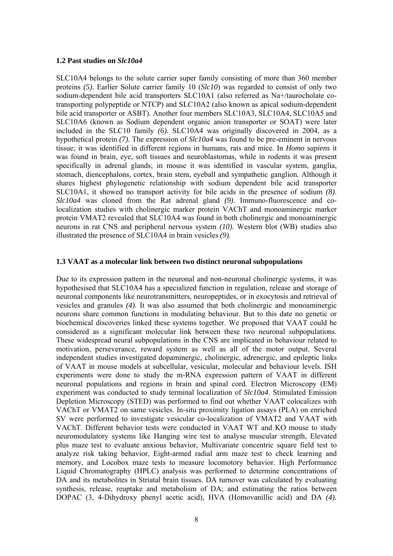#### **1.2 Past studies on** *Slc10a4*

SLC10A4 belongs to the solute carrier super family consisting of more than 360 member proteins *(5)*. Earlier Solute carrier family 10 (*Slc10*) was regarded to consist of only two sodium-dependent bile acid transporters SLC10A1 (also referred as Na+/taurocholate cotransporting polypeptide or NTCP) and SLC10A2 (also known as apical sodium-dependent bile acid transporter or ASBT). Another four members SLC10A3, SLC10A4, SLC10A5 and SLC10A6 (known as Sodium dependent organic anion transporter or SOAT) were later included in the SLC10 family *(6).* SLC10A4 was originally discovered in 2004, as a hypothetical protein *(7).* The expression of *Slc10a4* was found to be pre-eminent in nervous tissue; it was identified in different regions in humans, rats and mice. In *Homo sapiens* it was found in brain, eye, soft tissues and neuroblastomas, while in rodents it was present specifically in adrenal glands; in mouse it was identified in vascular system, ganglia, stomach, diencephalons, cortex, brain stem, eyeball and sympathetic ganglion*.* Although it shares highest phylogenetic relationship with sodium dependent bile acid transporter SLC10A1, it showed no transport activity for bile acids in the presence of sodium *(8)*. *Slc10a4* was cloned from the Rat adrenal gland *(9)*. Immuno-fluorescence and colocalization studies with cholinergic marker protein VAChT and monoaminergic marker protein VMAT2 revealed that SLC10A4 was found in both cholinergic and monoaminergic neurons in rat CNS and peripheral nervous system *(10).* Western blot (WB) studies also illustrated the presence of SLC10A4 in brain vesicles *(9).*

#### **1.3 VAAT as a molecular link between two distinct neuronal subpopulations**

Due to its expression pattern in the neuronal and non-neuronal cholinergic systems, it was hypothesised that SLC10A4 has a specialized function in regulation, release and storage of neuronal components like neurotransmitters, neuropeptides, or in exocytosis and retrieval of vesicles and granules *(4)*. It was also assumed that both cholinergic and monoaminergic neurons share common functions in modulating behaviour. But to this date no genetic or biochemical discoveries linked these systems together. We proposed that VAAT could be considered as a significant molecular link between these two neuronal subpopulations. These widespread neural subpopulations in the CNS are implicated in behaviour related to motivation, perseverance, reward system as well as all of the motor output. Several independent studies investigated dopaminergic, cholinergic, adrenergic, and epileptic links of VAAT in mouse models at subcellular, vesicular, molecular and behaviour levels. ISH experiments were done to study the m-RNA expression pattern of VAAT in different neuronal populations and regions in brain and spinal cord. Electron Microscopy (EM) experiment was conducted to study terminal localization of *Slc10a4*. Stimulated Emission Depletion Microscopy (STED) was performed to find out whether VAAT colocalizes with VAChT or VMAT2 on same vesicles. In-situ proximity ligation assays (PLA) on enriched SV were performed to investigate vesicular co-localization of VMAT2 and VAAT with VAChT. Different behavior tests were conducted in VAAT WT and KO mouse to study neuromodulatory systems like Hanging wire test to analyse muscular strength, Elevated plus maze test to evaluate anxious behavior, Multivariate concentric square field test to analyze risk taking behavior, Eight-armed radial arm maze test to check learning and memory, and Locobox maze tests to measure locomotory behavior. High Performance Liquid Chromatography (HPLC) analysis was performed to determine concentrations of DA and its metabolites in Striatal brain tissues. DA turnover was calculated by evaluating synthesis, release, reuptake and metabolism of DA; and estimating the ratios between DOPAC (3, 4-Dihydroxy phenyl acetic acid), HVA (Homovanillic acid) and DA *(4).*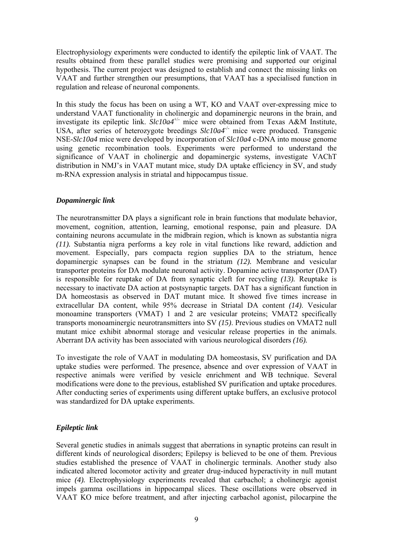Electrophysiology experiments were conducted to identify the epileptic link of VAAT. The results obtained from these parallel studies were promising and supported our original hypothesis. The current project was designed to establish and connect the missing links on VAAT and further strengthen our presumptions, that VAAT has a specialised function in regulation and release of neuronal components.

In this study the focus has been on using a WT, KO and VAAT over-expressing mice to understand VAAT functionality in cholinergic and dopaminergic neurons in the brain, and investigate its epileptic link. *Slc10a4*+/- mice were obtained from Texas A&M Institute, USA, after series of heterozygote breedings *Slc10a4<sup>-/-</sup>* mice were produced. Transgenic NSE-*Slc10a4* mice were developed by incorporation of *Slc10a4* c-DNA into mouse genome using genetic recombination tools. Experiments were performed to understand the significance of VAAT in cholinergic and dopaminergic systems, investigate VAChT distribution in NMJ's in VAAT mutant mice, study DA uptake efficiency in SV, and study m-RNA expression analysis in striatal and hippocampus tissue.

#### *Dopaminergic link*

The neurotransmitter DA plays a significant role in brain functions that modulate behavior, movement, cognition, attention, learning, emotional response, pain and pleasure. DA containing neurons accumulate in the midbrain region, which is known as substantia nigra *(11).* Substantia nigra performs a key role in vital functions like reward, addiction and movement. Especially, pars compacta region supplies DA to the striatum, hence dopaminergic synapses can be found in the striatum *(12).* Membrane and vesicular transporter proteins for DA modulate neuronal activity. Dopamine active transporter (DAT) is responsible for reuptake of DA from synaptic cleft for recycling *(13).* Reuptake is necessary to inactivate DA action at postsynaptic targets. DAT has a significant function in DA homeostasis as observed in DAT mutant mice*.* It showed five times increase in extracellular DA content, while 95% decrease in Striatal DA content *(14)*. Vesicular monoamine transporters (VMAT) 1 and 2 are vesicular proteins; VMAT2 specifically transports monoaminergic neurotransmitters into SV *(15)*. Previous studies on VMAT2 null mutant mice exhibit abnormal storage and vesicular release properties in the animals. Aberrant DA activity has been associated with various neurological disorders *(16).*

To investigate the role of VAAT in modulating DA homeostasis, SV purification and DA uptake studies were performed. The presence, absence and over expression of VAAT in respective animals were verified by vesicle enrichment and WB technique. Several modifications were done to the previous, established SV purification and uptake procedures. After conducting series of experiments using different uptake buffers, an exclusive protocol was standardized for DA uptake experiments.

#### *Epileptic link*

Several genetic studies in animals suggest that aberrations in synaptic proteins can result in different kinds of neurological disorders; Epilepsy is believed to be one of them. Previous studies established the presence of VAAT in cholinergic terminals. Another study also indicated altered locomotor activity and greater drug-induced hyperactivity in null mutant mice *(4).* Electrophysiology experiments revealed that carbachol; a cholinergic agonist impels gamma oscillations in hippocampal slices. These oscillations were observed in VAAT KO mice before treatment, and after injecting carbachol agonist, pilocarpine the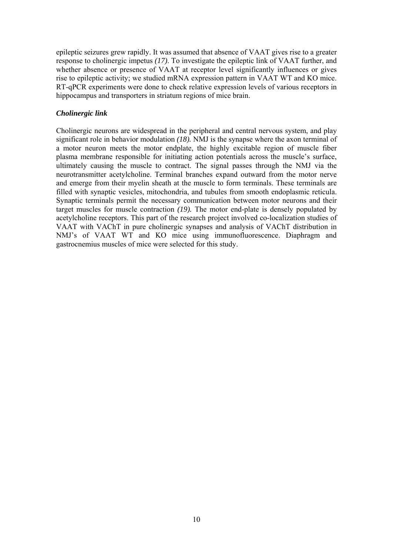epileptic seizures grew rapidly. It was assumed that absence of VAAT gives rise to a greater response to cholinergic impetus *(17)*. To investigate the epileptic link of VAAT further, and whether absence or presence of VAAT at receptor level significantly influences or gives rise to epileptic activity; we studied mRNA expression pattern in VAAT WT and KO mice. RT-qPCR experiments were done to check relative expression levels of various receptors in hippocampus and transporters in striatum regions of mice brain.

## *Cholinergic link*

Cholinergic neurons are widespread in the peripheral and central nervous system, and play significant role in behavior modulation *(18).* NMJ is the synapse where the axon terminal of a motor neuron meets the motor endplate, the highly excitable region of muscle fiber plasma membrane responsible for initiating action potentials across the muscle's surface, ultimately causing the muscle to contract. The signal passes through the NMJ via the neurotransmitter acetylcholine. Terminal branches expand outward from the motor nerve and emerge from their myelin sheath at the muscle to form terminals. These terminals are filled with synaptic vesicles, mitochondria, and tubules from smooth endoplasmic reticula. Synaptic terminals permit the necessary communication between motor neurons and their target muscles for muscle contraction *(19).* The motor end-plate is densely populated by acetylcholine receptors. This part of the research project involved co-localization studies of VAAT with VAChT in pure cholinergic synapses and analysis of VAChT distribution in NMJ's of VAAT WT and KO mice using immunofluorescence. Diaphragm and gastrocnemius muscles of mice were selected for this study.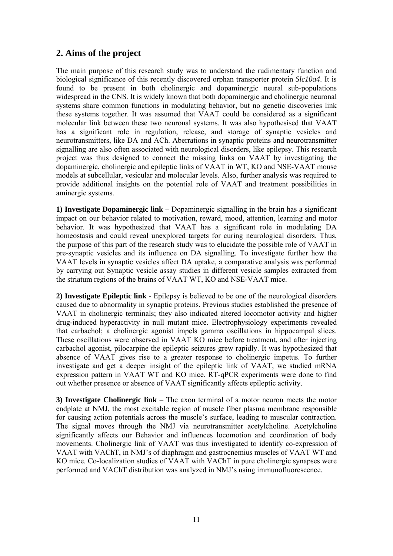# **2. Aims of the project**

The main purpose of this research study was to understand the rudimentary function and biological significance of this recently discovered orphan transporter protein *Slc10a4*. It is found to be present in both cholinergic and dopaminergic neural sub-populations widespread in the CNS. It is widely known that both dopaminergic and cholinergic neuronal systems share common functions in modulating behavior, but no genetic discoveries link these systems together. It was assumed that VAAT could be considered as a significant molecular link between these two neuronal systems. It was also hypothesised that VAAT has a significant role in regulation, release, and storage of synaptic vesicles and neurotransmitters, like DA and ACh. Aberrations in synaptic proteins and neurotransmitter signalling are also often associated with neurological disorders, like epilepsy. This research project was thus designed to connect the missing links on VAAT by investigating the dopaminergic, cholinergic and epileptic links of VAAT in WT, KO and NSE-VAAT mouse models at subcellular, vesicular and molecular levels. Also, further analysis was required to provide additional insights on the potential role of VAAT and treatment possibilities in aminergic systems.

**1) Investigate Dopaminergic link** – Dopaminergic signalling in the brain has a significant impact on our behavior related to motivation, reward, mood, attention, learning and motor behavior. It was hypothesized that VAAT has a significant role in modulating DA homeostasis and could reveal unexplored targets for curing neurological disorders. Thus, the purpose of this part of the research study was to elucidate the possible role of VAAT in pre-synaptic vesicles and its influence on DA signalling. To investigate further how the VAAT levels in synaptic vesicles affect DA uptake, a comparative analysis was performed by carrying out Synaptic vesicle assay studies in different vesicle samples extracted from the striatum regions of the brains of VAAT WT, KO and NSE-VAAT mice.

**2) Investigate Epileptic link** - Epilepsy is believed to be one of the neurological disorders caused due to abnormality in synaptic proteins. Previous studies established the presence of VAAT in cholinergic terminals; they also indicated altered locomotor activity and higher drug-induced hyperactivity in null mutant mice. Electrophysiology experiments revealed that carbachol; a cholinergic agonist impels gamma oscillations in hippocampal slices. These oscillations were observed in VAAT KO mice before treatment, and after injecting carbachol agonist, pilocarpine the epileptic seizures grew rapidly. It was hypothesized that absence of VAAT gives rise to a greater response to cholinergic impetus. To further investigate and get a deeper insight of the epileptic link of VAAT, we studied mRNA expression pattern in VAAT WT and KO mice. RT-qPCR experiments were done to find out whether presence or absence of VAAT significantly affects epileptic activity.

**3) Investigate Cholinergic link** – The axon terminal of a motor neuron meets the motor endplate at NMJ, the most excitable region of muscle fiber plasma membrane responsible for causing action potentials across the muscle's surface, leading to muscular contraction. The signal moves through the NMJ via neurotransmitter acetylcholine. Acetylcholine significantly affects our Behavior and influences locomotion and coordination of body movements. Cholinergic link of VAAT was thus investigated to identify co-expression of VAAT with VAChT, in NMJ's of diaphragm and gastrocnemius muscles of VAAT WT and KO mice. Co-localization studies of VAAT with VAChT in pure cholinergic synapses were performed and VAChT distribution was analyzed in NMJ's using immunofluorescence.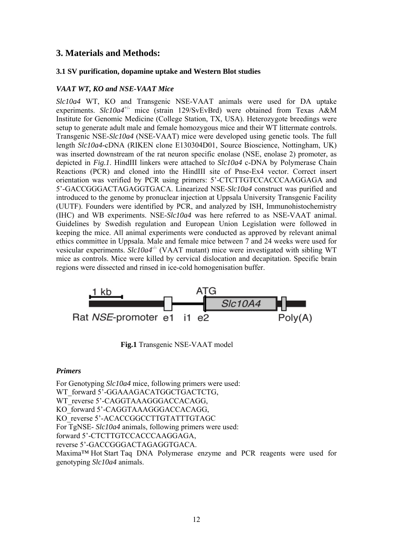# **3. Materials and Methods:**

#### **3.1 SV purification, dopamine uptake and Western Blot studies**

#### *VAAT WT, KO and NSE-VAAT Mice*

*Slc10a4* WT, KO and Transgenic NSE-VAAT animals were used for DA uptake experiments. *Slc10a4<sup>+/-</sup>* mice (strain 129/SvEvBrd) were obtained from Texas A&M Institute for Genomic Medicine (College Station, TX, USA). Heterozygote breedings were setup to generate adult male and female homozygous mice and their WT littermate controls. Transgenic NSE-*Slc10a4* (NSE-VAAT) mice were developed using genetic tools. The full length *Slc10a4*-cDNA (RIKEN clone E130304D01, Source Bioscience, Nottingham, UK) was inserted downstream of the rat neuron specific enolase (NSE, enolase 2) promoter, as depicted in *Fig.1*. HindIII linkers were attached to *Slc10a4* c-DNA by Polymerase Chain Reactions (PCR) and cloned into the HindIII site of Pnse-Ex4 vector. Correct insert orientation was verified by PCR using primers: 5'-CTCTTGTCCACCCAAGGAGA and 5'-GACCGGGACTAGAGGTGACA. Linearized NSE-*Slc10a4* construct was purified and introduced to the genome by pronuclear injection at Uppsala University Transgenic Facility (UUTF). Founders were identified by PCR, and analyzed by ISH, Immunohistochemistry (IHC) and WB experiments. NSE-*Slc10a4* was here referred to as NSE-VAAT animal. Guidelines by Swedish regulation and European Union Legislation were followed in keeping the mice. All animal experiments were conducted as approved by relevant animal ethics committee in Uppsala. Male and female mice between 7 and 24 weeks were used for vesicular experiments. *Slc10a4<sup>-/-</sup>* (VAAT mutant) mice were investigated with sibling WT mice as controls. Mice were killed by cervical dislocation and decapitation. Specific brain regions were dissected and rinsed in ice-cold homogenisation buffer.



 **Fig.1** Transgenic NSE-VAAT model

#### *Primers*

For Genotyping *Slc10a4* mice, following primers were used: WT\_forward 5'-GGAAAGACATGGCTGACTCTG, WT\_reverse 5'-CAGGTAAAGGGACCACAGG, KO\_forward 5'-CAGGTAAAGGGACCACAGG, KO\_reverse 5'-ACACCGGCCTTGTATTTGTAGC For TgNSE- *Slc10a4* animals, following primers were used: forward 5'-CTCTTGTCCACCCAAGGAGA, reverse 5'-GACCGGGACTAGAGGTGACA. Maxima™ Hot Start Taq DNA Polymerase enzyme and PCR reagents were used for genotyping *Slc10a4* animals.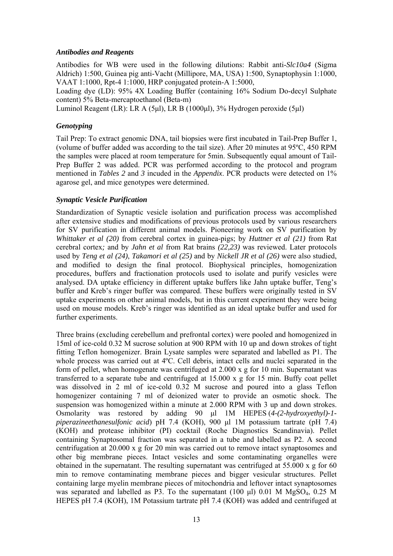#### *Antibodies and Reagents*

Antibodies for WB were used in the following dilutions: Rabbit anti-*Slc10a4* (Sigma Aldrich) 1:500, Guinea pig anti-Vacht (Millipore, MA, USA) 1:500, Synaptophysin 1:1000, VAAT 1:1000, Rpt-4 1:1000, HRP conjugated protein-A 1:5000,

Loading dye (LD): 95% 4X Loading Buffer (containing 16% Sodium Do-decyl Sulphate content) 5% Beta-mercaptoethanol (Beta-m)

Luminol Reagent (LR): LR A (5μl), LR B (1000μl), 3% Hydrogen peroxide (5μl)

#### *Genotyping*

Tail Prep: To extract genomic DNA, tail biopsies were first incubated in Tail-Prep Buffer 1, (volume of buffer added was according to the tail size). After 20 minutes at 95ºC, 450 RPM the samples were placed at room temperature for 5min. Subsequently equal amount of Tail-Prep Buffer 2 was added. PCR was performed according to the protocol and program mentioned in *Tables 2* and *3* incuded in the *Appendix*. PCR products were detected on 1% agarose gel, and mice genotypes were determined.

#### *Synaptic Vesicle Purification*

Standardization of Synaptic vesicle isolation and purification process was accomplished after extensive studies and modifications of previous protocols used by various researchers for SV purification in different animal models. Pioneering work on SV purification by *Whittaker et al (20)* from cerebral cortex in guinea-pigs; by *Huttner et al (21)* from Rat cerebral cortex*;* and by *Jahn et al* from Rat brains *(22,23)* was reviewed. Later protocols used by *Teng et al (24)*, *Takamori et al (25)* and by *Nickell JR et al (26)* were also studied, and modified to design the final protocol. Biophysical principles, homogenization procedures, buffers and fractionation protocols used to isolate and purify vesicles were analysed. DA uptake efficiency in different uptake buffers like Jahn uptake buffer, Teng's buffer and Kreb's ringer buffer was compared. These buffers were originally tested in SV uptake experiments on other animal models, but in this current experiment they were being used on mouse models. Kreb's ringer was identified as an ideal uptake buffer and used for further experiments.

Three brains (excluding cerebellum and prefrontal cortex) were pooled and homogenized in 15ml of ice-cold 0.32 M sucrose solution at 900 RPM with 10 up and down strokes of tight fitting Teflon homogenizer. Brain Lysate samples were separated and labelled as P1. The whole process was carried out at 4ºC. Cell debris, intact cells and nuclei separated in the form of pellet, when homogenate was centrifuged at 2.000 x g for 10 min. Supernatant was transferred to a separate tube and centrifuged at  $15.000 \times g$  for 15 min. Buffy coat pellet was dissolved in 2 ml of ice-cold 0.32 M sucrose and poured into a glass Teflon homogenizer containing 7 ml of deionized water to provide an osmotic shock. The suspension was homogenized within a minute at 2.000 RPM with 3 up and down strokes. Osmolarity was restored by adding 90 μl 1M HEPES (*4-(2-hydroxyethyl)-1 piperazineethanesulfonic acid*) pH 7.4 (KOH), 900 μl 1M potassium tartrate (pH 7.4) (KOH) and protease inhibitor (PI) cocktail (Roche Diagnostics Scandinavia). Pellet containing Synaptosomal fraction was separated in a tube and labelled as P2. A second centrifugation at 20.000 x g for 20 min was carried out to remove intact synaptosomes and other big membrane pieces. Intact vesicles and some contaminating organelles were obtained in the supernatant. The resulting supernatant was centrifuged at 55.000 x g for 60 min to remove contaminating membrane pieces and bigger vesicular structures. Pellet containing large myelin membrane pieces of mitochondria and leftover intact synaptosomes was separated and labelled as P3. To the supernatant (100  $\mu$ l) 0.01 M MgSO<sub>4</sub>, 0.25 M HEPES pH 7.4 (KOH), 1M Potassium tartrate pH 7.4 (KOH) was added and centrifuged at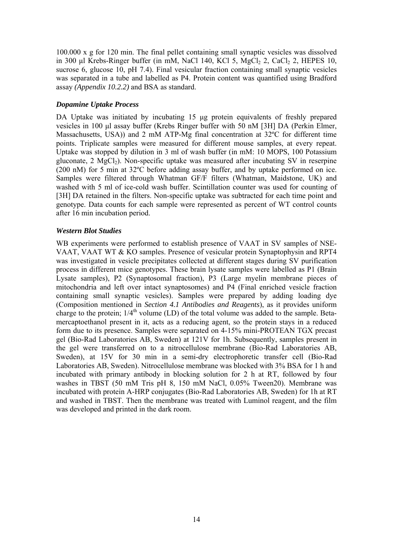100.000 x g for 120 min. The final pellet containing small synaptic vesicles was dissolved in 300 μl Krebs-Ringer buffer (in mM, NaCl 140, KCl 5, MgCl<sub>2</sub> 2, CaCl<sub>2</sub> 2, HEPES 10, sucrose 6, glucose 10, pH 7.4). Final vesicular fraction containing small synaptic vesicles was separated in a tube and labelled as P4. Protein content was quantified using Bradford assay *(Appendix 10.2.2)* and BSA as standard.

## *Dopamine Uptake Process*

DA Uptake was initiated by incubating 15 μg protein equivalents of freshly prepared vesicles in 100 μl assay buffer (Krebs Ringer buffer with 50 nM [3H] DA (Perkin Elmer, Massachusetts, USA)) and 2 mM ATP-Mg final concentration at 32ºC for different time points. Triplicate samples were measured for different mouse samples, at every repeat. Uptake was stopped by dilution in 3 ml of wash buffer (in mM: 10 MOPS, 100 Potassium gluconate,  $2 \text{ MgCl}_2$ ). Non-specific uptake was measured after incubating SV in reserpine (200 nM) for 5 min at 32ºC before adding assay buffer, and by uptake performed on ice. Samples were filtered through Whatman GF/F filters (Whatman, Maidstone, UK) and washed with 5 ml of ice-cold wash buffer. Scintillation counter was used for counting of [3H] DA retained in the filters. Non-specific uptake was subtracted for each time point and genotype. Data counts for each sample were represented as percent of WT control counts after 16 min incubation period.

## *Western Blot Studies*

WB experiments were performed to establish presence of VAAT in SV samples of NSE-VAAT, VAAT WT & KO samples. Presence of vesicular protein Synaptophysin and RPT4 was investigated in vesicle precipitates collected at different stages during SV purification process in different mice genotypes. These brain lysate samples were labelled as P1 (Brain Lysate samples), P2 (Synaptosomal fraction), P3 (Large myelin membrane pieces of mitochondria and left over intact synaptosomes) and P4 (Final enriched vesicle fraction containing small synaptic vesicles). Samples were prepared by adding loading dye (Composition mentioned in *Section 4.1 Antibodies and Reagents*), as it provides uniform charge to the protein;  $1/4<sup>th</sup>$  volume (LD) of the total volume was added to the sample. Betamercaptoethanol present in it, acts as a reducing agent, so the protein stays in a reduced form due to its presence. Samples were separated on 4-15% mini-PROTEAN TGX precast gel (Bio-Rad Laboratories AB, Sweden) at 121V for 1h. Subsequently, samples present in the gel were transferred on to a nitrocellulose membrane (Bio-Rad Laboratories AB, Sweden), at 15V for 30 min in a semi-dry electrophoretic transfer cell (Bio-Rad Laboratories AB, Sweden). Nitrocellulose membrane was blocked with 3% BSA for 1 h and incubated with primary antibody in blocking solution for 2 h at RT, followed by four washes in TBST (50 mM Tris pH 8, 150 mM NaCl, 0.05% Tween20). Membrane was incubated with protein A-HRP conjugates (Bio-Rad Laboratories AB, Sweden) for 1h at RT and washed in TBST. Then the membrane was treated with Luminol reagent, and the film was developed and printed in the dark room.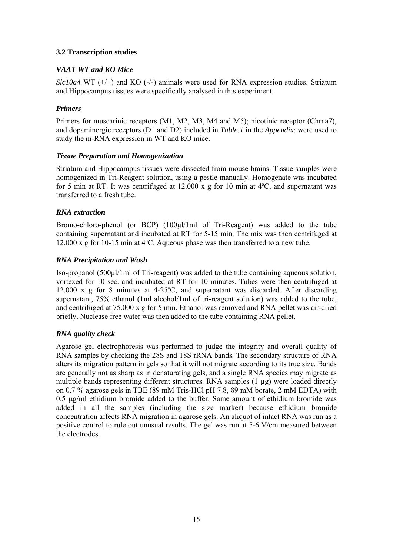## **3.2 Transcription studies**

## *VAAT WT and KO Mice*

*Slc10a4* WT (+/+) and KO (-/-) animals were used for RNA expression studies. Striatum and Hippocampus tissues were specifically analysed in this experiment.

## *Primers*

Primers for muscarinic receptors (M1, M2, M3, M4 and M5); nicotinic receptor (Chrna7), and dopaminergic receptors (D1 and D2) included in *Table.1* in the *Appendix*; were used to study the m-RNA expression in WT and KO mice.

## *Tissue Preparation and Homogenization*

Striatum and Hippocampus tissues were dissected from mouse brains. Tissue samples were homogenized in Tri-Reagent solution, using a pestle manually. Homogenate was incubated for 5 min at RT. It was centrifuged at 12.000 x g for 10 min at 4ºC, and supernatant was transferred to a fresh tube.

## *RNA extraction*

Bromo-chloro-phenol (or BCP) (100μl/1ml of Tri-Reagent) was added to the tube containing supernatant and incubated at RT for 5-15 min. The mix was then centrifuged at 12.000 x g for 10-15 min at 4ºC. Aqueous phase was then transferred to a new tube.

## *RNA Precipitation and Wash*

Iso-propanol (500μl/1ml of Tri-reagent) was added to the tube containing aqueous solution, vortexed for 10 sec. and incubated at RT for 10 minutes. Tubes were then centrifuged at 12.000 x g for 8 minutes at 4-25ºC, and supernatant was discarded. After discarding supernatant, 75% ethanol (1ml alcohol/1ml of tri-reagent solution) was added to the tube, and centrifuged at 75.000 x g for 5 min. Ethanol was removed and RNA pellet was air-dried briefly. Nuclease free water was then added to the tube containing RNA pellet.

#### *RNA quality check*

Agarose gel electrophoresis was performed to judge the integrity and overall quality of RNA samples by checking the 28S and 18S rRNA bands. The secondary structure of RNA alters its migration pattern in gels so that it will not migrate according to its true size. Bands are generally not as sharp as in denaturating gels, and a single RNA species may migrate as multiple bands representing different structures. RNA samples (1 µg) were loaded directly on 0.7 % agarose gels in TBE (89 mM Tris-HCl pH 7.8, 89 mM borate, 2 mM EDTA) with 0.5 µg/ml ethidium bromide added to the buffer. Same amount of ethidium bromide was added in all the samples (including the size marker) because ethidium bromide concentration affects RNA migration in agarose gels. An aliquot of intact RNA was run as a positive control to rule out unusual results. The gel was run at 5-6 V/cm measured between the electrodes.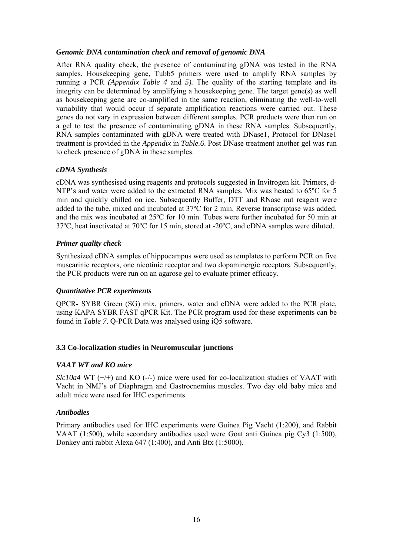#### *Genomic DNA contamination check and removal of genomic DNA*

After RNA quality check, the presence of contaminating gDNA was tested in the RNA samples. Housekeeping gene, Tubb5 primers were used to amplify RNA samples by running a PCR *(Appendix Table 4* and *5).* The quality of the starting template and its integrity can be determined by amplifying a housekeeping gene. The target gene(s) as well as housekeeping gene are co-amplified in the same reaction, eliminating the well-to-well variability that would occur if separate amplification reactions were carried out. These genes do not vary in expression between different samples. PCR products were then run on a gel to test the presence of contaminating gDNA in these RNA samples. Subsequently, RNA samples contaminated with gDNA were treated with DNase1, Protocol for DNase1 treatment is provided in the *Appendix* in *Table.6*. Post DNase treatment another gel was run to check presence of gDNA in these samples.

#### *cDNA Synthesis*

cDNA was synthesised using reagents and protocols suggested in Invitrogen kit. Primers, d-NTP's and water were added to the extracted RNA samples. Mix was heated to 65ºC for 5 min and quickly chilled on ice. Subsequently Buffer, DTT and RNase out reagent were added to the tube, mixed and incubated at 37ºC for 2 min. Reverse transcriptase was added, and the mix was incubated at 25ºC for 10 min. Tubes were further incubated for 50 min at 37ºC, heat inactivated at 70ºC for 15 min, stored at -20ºC, and cDNA samples were diluted.

#### *Primer quality check*

Synthesized cDNA samples of hippocampus were used as templates to perform PCR on five muscarinic receptors, one nicotinic receptor and two dopaminergic receptors. Subsequently, the PCR products were run on an agarose gel to evaluate primer efficacy*.*

#### *Quantitative PCR experiments*

QPCR- SYBR Green (SG) mix, primers, water and cDNA were added to the PCR plate, using KAPA SYBR FAST qPCR Kit. The PCR program used for these experiments can be found in *Table 7*. Q-PCR Data was analysed using iQ5 software.

#### **3.3 Co-localization studies in Neuromuscular junctions**

#### *VAAT WT and KO mice*

*Slc10a4* WT (+/+) and KO (-/-) mice were used for co-localization studies of VAAT with Vacht in NMJ's of Diaphragm and Gastrocnemius muscles. Two day old baby mice and adult mice were used for IHC experiments.

#### *Antibodies*

Primary antibodies used for IHC experiments were Guinea Pig Vacht (1:200), and Rabbit VAAT (1:500), while secondary antibodies used were Goat anti Guinea pig Cy3 (1:500), Donkey anti rabbit Alexa 647 (1:400), and Anti Btx (1:5000).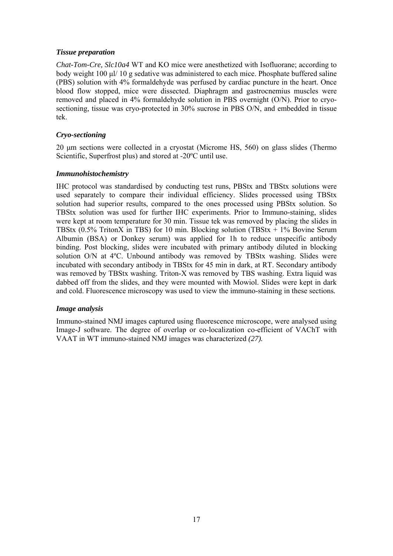#### *Tissue preparation*

*Chat-Tom-Cre, Slc10a4* WT and KO mice were anesthetized with Isofluorane; according to body weight 100 μl/ 10 g sedative was administered to each mice. Phosphate buffered saline (PBS) solution with 4% formaldehyde was perfused by cardiac puncture in the heart. Once blood flow stopped, mice were dissected. Diaphragm and gastrocnemius muscles were removed and placed in 4% formaldehyde solution in PBS overnight (O/N). Prior to cryosectioning, tissue was cryo-protected in 30% sucrose in PBS O/N, and embedded in tissue tek.

#### *Cryo-sectioning*

20 μm sections were collected in a cryostat (Microme HS, 560) on glass slides (Thermo Scientific, Superfrost plus) and stored at -20ºC until use.

#### *Immunohistochemistry*

IHC protocol was standardised by conducting test runs, PBStx and TBStx solutions were used separately to compare their individual efficiency. Slides processed using TBStx solution had superior results, compared to the ones processed using PBStx solution. So TBStx solution was used for further IHC experiments. Prior to Immuno-staining, slides were kept at room temperature for 30 min. Tissue tek was removed by placing the slides in TBStx (0.5% TritonX in TBS) for 10 min. Blocking solution (TBStx + 1% Bovine Serum Albumin (BSA) or Donkey serum) was applied for 1h to reduce unspecific antibody binding. Post blocking, slides were incubated with primary antibody diluted in blocking solution O/N at 4°C. Unbound antibody was removed by TBStx washing. Slides were incubated with secondary antibody in TBStx for 45 min in dark, at RT. Secondary antibody was removed by TBStx washing. Triton-X was removed by TBS washing. Extra liquid was dabbed off from the slides, and they were mounted with Mowiol. Slides were kept in dark and cold. Fluorescence microscopy was used to view the immuno-staining in these sections*.* 

#### *Image analysis*

Immuno-stained NMJ images captured using fluorescence microscope, were analysed using Image-J software. The degree of overlap or co-localization co-efficient of VAChT with VAAT in WT immuno-stained NMJ images was characterized *(27).*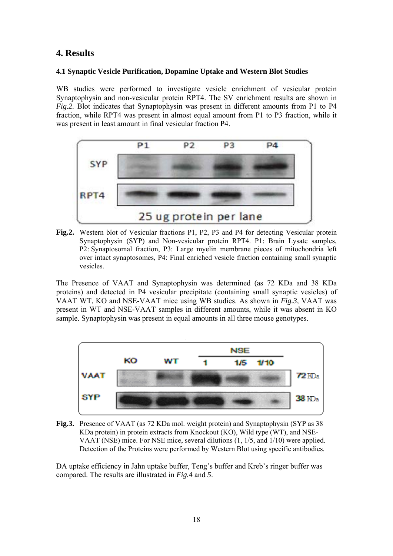# **4. Results**

#### **4.1 Synaptic Vesicle Purification, Dopamine Uptake and Western Blot Studies**

WB studies were performed to investigate vesicle enrichment of vesicular protein Synaptophysin and non-vesicular protein RPT4. The SV enrichment results are shown in *Fig.2.* Blot indicates that Synaptophysin was present in different amounts from P1 to P4 fraction, while RPT4 was present in almost equal amount from P1 to P3 fraction, while it was present in least amount in final vesicular fraction P4.



**Fig.2.** Western blot of Vesicular fractions P1, P2, P3 and P4 for detecting Vesicular protein Synaptophysin (SYP) and Non-vesicular protein RPT4. P1: Brain Lysate samples, P2: Synaptosomal fraction, P3: Large myelin membrane pieces of mitochondria left over intact synaptosomes, P4: Final enriched vesicle fraction containing small synaptic vesicles.

The Presence of VAAT and Synaptophysin was determined (as 72 KDa and 38 KDa proteins) and detected in P4 vesicular precipitate (containing small synaptic vesicles) of VAAT WT, KO and NSE-VAAT mice using WB studies. As shown in *Fig.3,* VAAT was present in WT and NSE-VAAT samples in different amounts, while it was absent in KO sample. Synaptophysin was present in equal amounts in all three mouse genotypes.



**Fig.3.** Presence of VAAT (as 72 KDa mol. weight protein) and Synaptophysin (SYP as 38 KDa protein) in protein extracts from Knockout (KO), Wild type (WT), and NSE-VAAT (NSE) mice. For NSE mice, several dilutions (1, 1/5, and 1/10) were applied. Detection of the Proteins were performed by Western Blot using specific antibodies.

DA uptake efficiency in Jahn uptake buffer, Teng's buffer and Kreb's ringer buffer was compared. The results are illustrated in *Fig.4* and *5*.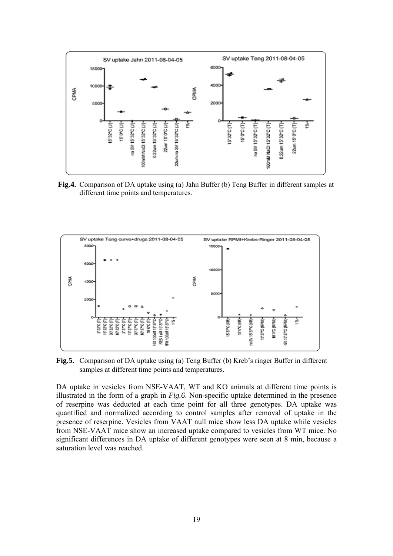

 **Fig.4.** Comparison of DA uptake using (a) Jahn Buffer (b) Teng Buffer in different samples at different time points and temperatures.



**Fig.5.** Comparison of DA uptake using (a) Teng Buffer (b) Kreb's ringer Buffer in different samples at different time points and temperatures.

DA uptake in vesicles from NSE-VAAT, WT and KO animals at different time points is illustrated in the form of a graph in *Fig.6*. Non-specific uptake determined in the presence of reserpine was deducted at each time point for all three genotypes. DA uptake was quantified and normalized according to control samples after removal of uptake in the presence of reserpine. Vesicles from VAAT null mice show less DA uptake while vesicles from NSE-VAAT mice show an increased uptake compared to vesicles from WT mice. No significant differences in DA uptake of different genotypes were seen at 8 min, because a saturation level was reached.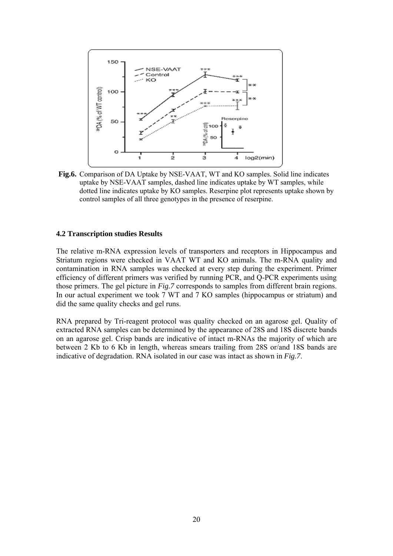

**Fig.6.** Comparison of DA Uptake by NSE-VAAT, WT and KO samples. Solid line indicates uptake by NSE-VAAT samples, dashed line indicates uptake by WT samples, while dotted line indicates uptake by KO samples. Reserpine plot represents uptake shown by control samples of all three genotypes in the presence of reserpine.

#### **4.2 Transcription studies Results**

The relative m-RNA expression levels of transporters and receptors in Hippocampus and Striatum regions were checked in VAAT WT and KO animals. The m-RNA quality and contamination in RNA samples was checked at every step during the experiment. Primer efficiency of different primers was verified by running PCR, and Q-PCR experiments using those primers. The gel picture in *Fig.7* corresponds to samples from different brain regions. In our actual experiment we took 7 WT and 7 KO samples (hippocampus or striatum) and did the same quality checks and gel runs.

RNA prepared by Tri-reagent protocol was quality checked on an agarose gel. Quality of extracted RNA samples can be determined by the appearance of 28S and 18S discrete bands on an agarose gel. Crisp bands are indicative of intact m-RNAs the majority of which are between 2 Kb to 6 Kb in length, whereas smears trailing from 28S or/and 18S bands are indicative of degradation. RNA isolated in our case was intact as shown in *Fig.7*.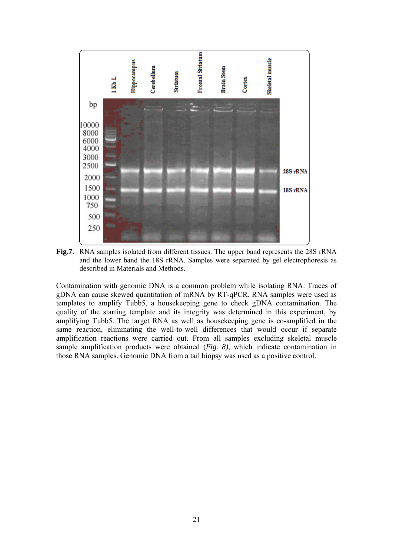

**Fig.7.** RNA samples isolated from different tissues. The upper band represents the 28S rRNA and the lower band the 18S rRNA. Samples were separated by gel electrophoresis as described in Materials and Methods.

Contamination with genomic DNA is a common problem while isolating RNA. Traces of gDNA can cause skewed quantitation of mRNA by RT-qPCR. RNA samples were used as templates to amplify Tubb5, a housekeeping gene to check gDNA contamination. The quality of the starting template and its integrity was determined in this experiment, by amplifying Tubb5. The target RNA as well as housekeeping gene is co-amplified in the same reaction, eliminating the well-to-well differences that would occur if separate amplification reactions were carried out. From all samples excluding skeletal muscle sample amplification products were obtained (*Fig. 8)*, which indicate contamination in those RNA samples. Genomic DNA from a tail biopsy was used as a positive control.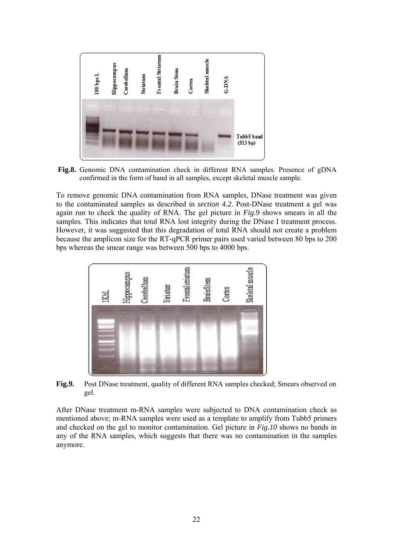

 **Fig.8.** Genomic DNA contamination check in different RNA samples. Presence of gDNA confirmed in the form of band in all samples, except skeletal muscle sample.

To remove genomic DNA contamination from RNA samples, DNase treatment was given to the contaminated samples as described in *section 4.2*. Post-DNase treatment a gel was again run to check the quality of RNA. The gel picture in *Fig.9* shows smears in all the samples. This indicates that total RNA lost integrity during the DNase I treatment process. However, it was suggested that this degradation of total RNA should not create a problem because the amplicon size for the RT-qPCR primer pairs used varied between 80 bps to 200 bps whereas the smear range was between 500 bps to 4000 bps.



**Fig.9.** Post DNase treatment, quality of different RNA samples checked; Smears observed on gel.

After DNase treatment m-RNA samples were subjected to DNA contamination check as mentioned above; m-RNA samples were used as a template to amplify from Tubb5 primers and checked on the gel to monitor contamination. Gel picture in *Fig.10* shows no bands in any of the RNA samples, which suggests that there was no contamination in the samples anymore.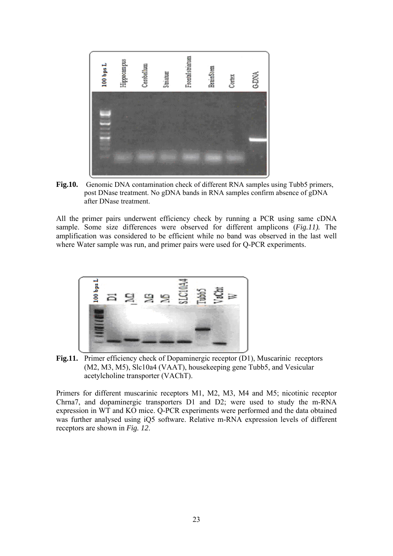

**Fig.10.** Genomic DNA contamination check of different RNA samples using Tubb5 primers, post DNase treatment. No gDNA bands in RNA samples confirm absence of gDNA after DNase treatment.

All the primer pairs underwent efficiency check by running a PCR using same cDNA sample. Some size differences were observed for different amplicons (*Fig.11).* The amplification was considered to be efficient while no band was observed in the last well where Water sample was run, and primer pairs were used for Q-PCR experiments.



**Fig.11.** Primer efficiency check of Dopaminergic receptor (D1), Muscarinic receptors (M2, M3, M5), Slc10a4 (VAAT), housekeeping gene Tubb5, and Vesicular acetylcholine transporter (VAChT).

Primers for different muscarinic receptors M1, M2, M3, M4 and M5; nicotinic receptor Chrna7, and dopaminergic transporters D1 and D2; were used to study the m-RNA expression in WT and KO mice. Q-PCR experiments were performed and the data obtained was further analysed using iQ5 software. Relative m-RNA expression levels of different receptors are shown in *Fig. 12*.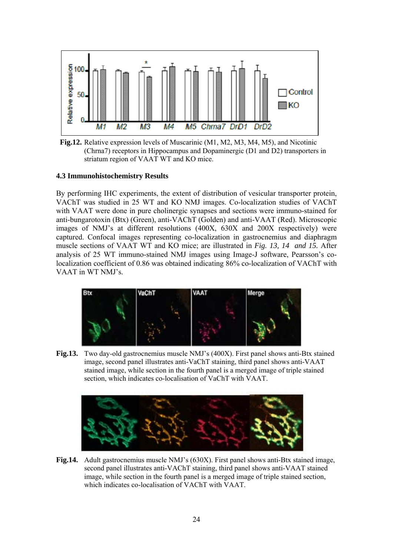

 **Fig.12.** Relative expression levels of Muscarinic (M1, M2, M3, M4, M5), and Nicotinic (Chrna7) receptors in Hippocampus and Dopaminergic (D1 and D2) transporters in striatum region of VAAT WT and KO mice.

#### **4.3 Immunohistochemistry Results**

By performing IHC experiments, the extent of distribution of vesicular transporter protein, VAChT was studied in 25 WT and KO NMJ images. Co-localization studies of VAChT with VAAT were done in pure cholinergic synapses and sections were immuno-stained for anti-bungarotoxin (Btx) (Green), anti-VAChT (Golden) and anti-VAAT (Red). Microscopic images of NMJ's at different resolutions (400X, 630X and 200X respectively) were captured. Confocal images representing co-localization in gastrocnemius and diaphragm muscle sections of VAAT WT and KO mice; are illustrated in *Fig. 13, 14 and 15.* After analysis of 25 WT immuno-stained NMJ images using Image-J software, Pearsson's colocalization coefficient of 0.86 was obtained indicating 86% co-localization of VAChT with VAAT in WT NMJ's.



**Fig.13.** Two day-old gastrocnemius muscle NMJ's (400X). First panel shows anti-Btx stained image, second panel illustrates anti-VaChT staining, third panel shows anti-VAAT stained image, while section in the fourth panel is a merged image of triple stained section, which indicates co-localisation of VaChT with VAAT.



**Fig.14.** Adult gastrocnemius muscle NMJ's (630X). First panel shows anti-Btx stained image, second panel illustrates anti-VAChT staining, third panel shows anti-VAAT stained image, while section in the fourth panel is a merged image of triple stained section, which indicates co-localisation of VAChT with VAAT.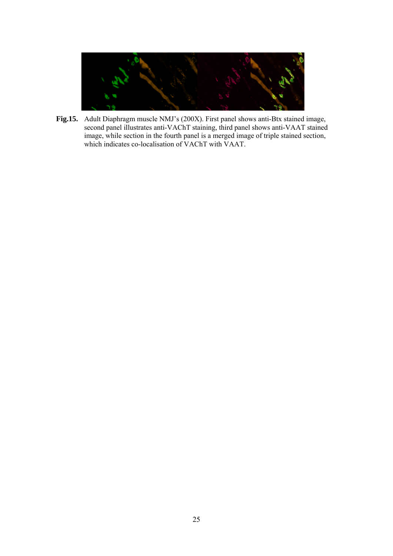

**Fig.15.** Adult Diaphragm muscle NMJ's (200X). First panel shows anti-Btx stained image, second panel illustrates anti-VAChT staining, third panel shows anti-VAAT stained image, while section in the fourth panel is a merged image of triple stained section, which indicates co-localisation of VAChT with VAAT.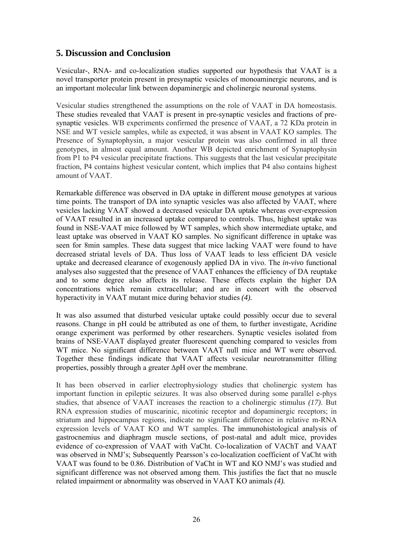# **5. Discussion and Conclusion**

Vesicular-, RNA- and co-localization studies supported our hypothesis that VAAT is a novel transporter protein present in presynaptic vesicles of monoaminergic neurons, and is an important molecular link between dopaminergic and cholinergic neuronal systems.

Vesicular studies strengthened the assumptions on the role of VAAT in DA homeostasis. These studies revealed that VAAT is present in pre-synaptic vesicles and fractions of presynaptic vesicles. WB experiments confirmed the presence of VAAT, a 72 KDa protein in NSE and WT vesicle samples, while as expected, it was absent in VAAT KO samples. The Presence of Synaptophysin, a major vesicular protein was also confirmed in all three genotypes, in almost equal amount. Another WB depicted enrichment of Synaptophysin from P1 to P4 vesicular precipitate fractions. This suggests that the last vesicular precipitate fraction, P4 contains highest vesicular content, which implies that P4 also contains highest amount of VAAT.

Remarkable difference was observed in DA uptake in different mouse genotypes at various time points*.* The transport of DA into synaptic vesicles was also affected by VAAT, where vesicles lacking VAAT showed a decreased vesicular DA uptake whereas over-expression of VAAT resulted in an increased uptake compared to controls. Thus, highest uptake was found in NSE-VAAT mice followed by WT samples, which show intermediate uptake, and least uptake was observed in VAAT KO samples. No significant difference in uptake was seen for 8min samples. These data suggest that mice lacking VAAT were found to have decreased striatal levels of DA. Thus loss of VAAT leads to less efficient DA vesicle uptake and decreased clearance of exogenously applied DA in vivo. The *in-vivo* functional analyses also suggested that the presence of VAAT enhances the efficiency of DA reuptake and to some degree also affects its release. These effects explain the higher DA concentrations which remain extracellular; and are in concert with the observed hyperactivity in VAAT mutant mice during behavior studies *(4).*

It was also assumed that disturbed vesicular uptake could possibly occur due to several reasons. Change in pH could be attributed as one of them, to further investigate, Acridine orange experiment was performed by other researchers. Synaptic vesicles isolated from brains of NSE-VAAT displayed greater fluorescent quenching compared to vesicles from WT mice. No significant difference between VAAT null mice and WT were observed. Together these findings indicate that VAAT affects vesicular neurotransmitter filling properties, possibly through a greater ΔpH over the membrane.

It has been observed in earlier electrophysiology studies that cholinergic system has important function in epileptic seizures. It was also observed during some parallel e-phys studies, that absence of VAAT increases the reaction to a cholinergic stimulus *(17)*. But RNA expression studies of muscarinic, nicotinic receptor and dopaminergic receptors; in striatum and hippocampus regions, indicate no significant difference in relative m-RNA expression levels of VAAT KO and WT samples. The immunohistological analysis of gastrocnemius and diaphragm muscle sections, of post-natal and adult mice, provides evidence of co-expression of VAAT with VaCht. Co-localization of VAChT and VAAT was observed in NMJ's; Subsequently Pearsson's co-localization coefficient of VaCht with VAAT was found to be 0.86. Distribution of VaCht in WT and KO NMJ's was studied and significant difference was not observed among them. This justifies the fact that no muscle related impairment or abnormality was observed in VAAT KO animals *(4).*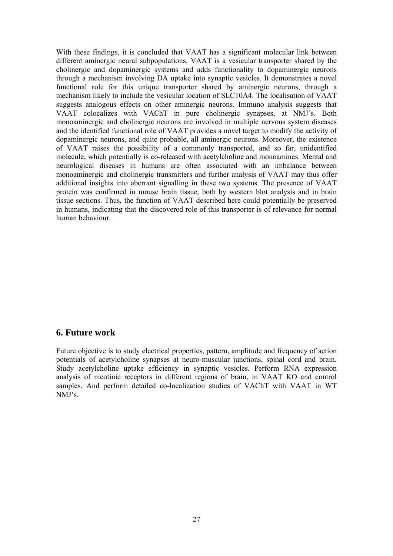With these findings, it is concluded that VAAT has a significant molecular link between different aminergic neural subpopulations. VAAT is a vesicular transporter shared by the cholinergic and dopaminergic systems and adds functionality to dopaminergic neurons through a mechanism involving DA uptake into synaptic vesicles. It demonstrates a novel functional role for this unique transporter shared by aminergic neurons, through a mechanism likely to include the vesicular location of SLC10A4. The localisation of VAAT suggests analogous effects on other aminergic neurons. Immuno analysis suggests that VAAT colocalizes with VAChT in pure cholinergic synapses, at NMJ's. Both monoaminergic and cholinergic neurons are involved in multiple nervous system diseases and the identified functional role of VAAT provides a novel target to modify the activity of dopaminergic neurons, and quite probable, all aminergic neurons. Moreover, the existence of VAAT raises the possibility of a commonly transported, and so far, unidentified molecule, which potentially is co-released with acetylcholine and monoamines. Mental and neurological diseases in humans are often associated with an imbalance between monoaminergic and cholinergic transmitters and further analysis of VAAT may thus offer additional insights into aberrant signalling in these two systems. The presence of VAAT protein was confirmed in mouse brain tissue, both by western blot analysis and in brain tissue sections. Thus, the function of VAAT described here could potentially be preserved in humans, indicating that the discovered role of this transporter is of relevance for normal human behaviour.

## **6. Future work**

Future objective is to study electrical properties, pattern, amplitude and frequency of action potentials of acetylcholine synapses at neuro-muscular junctions, spinal cord and brain. Study acetylcholine uptake efficiency in synaptic vesicles. Perform RNA expression analysis of nicotinic receptors in different regions of brain, in VAAT KO and control samples. And perform detailed co-localization studies of VAChT with VAAT in WT NMJ's.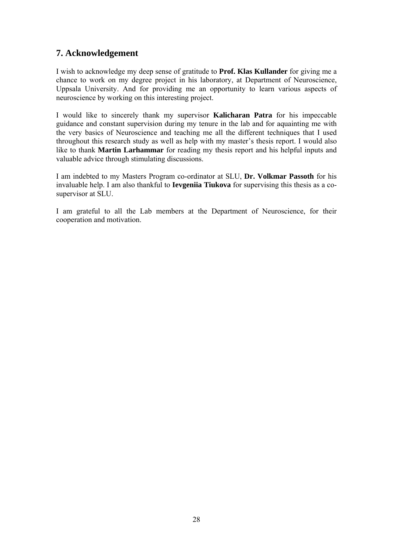# **7. Acknowledgement**

I wish to acknowledge my deep sense of gratitude to **Prof. Klas Kullander** for giving me a chance to work on my degree project in his laboratory, at Department of Neuroscience, Uppsala University. And for providing me an opportunity to learn various aspects of neuroscience by working on this interesting project.

I would like to sincerely thank my supervisor **Kalicharan Patra** for his impeccable guidance and constant supervision during my tenure in the lab and for aquainting me with the very basics of Neuroscience and teaching me all the different techniques that I used throughout this research study as well as help with my master's thesis report. I would also like to thank **Martin Larhammar** for reading my thesis report and his helpful inputs and valuable advice through stimulating discussions.

I am indebted to my Masters Program co-ordinator at SLU, **Dr. Volkmar Passoth** for his invaluable help. I am also thankful to **Ievgeniia Tiukova** for supervising this thesis as a cosupervisor at SLU.

I am grateful to all the Lab members at the Department of Neuroscience, for their cooperation and motivation.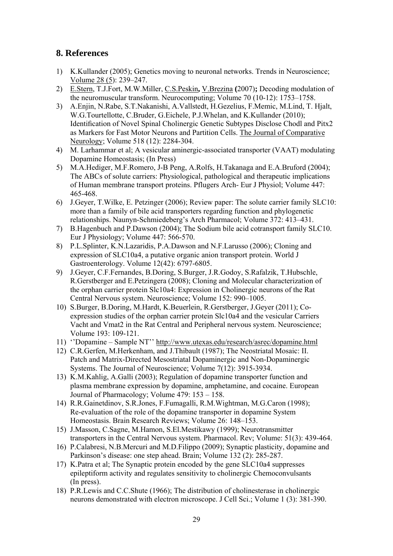# **8. References**

- 1) K.Kullander (2005); Genetics moving to neuronal networks. Trends in Neuroscience; Volume 28 (5): 239–247.
- 2) E.Stern, T.J.Fort, M.W.Miller, C.S.Peskin**,** V.Brezina **(**2007)**;** Decoding modulation of the neuromuscular transform. Neurocomputing; Volume 70 (10-12): 1753–1758.
- 3) A.Enjin, N.Rabe, S.T.Nakanishi, A.Vallstedt, H.Gezelius, F.Memic, M.Lind, T. Hjalt, W.G.Tourtellotte, C.Bruder, G.Eichele, P.J.Whelan, and K.Kullander (2010); Identification of Novel Spinal Cholinergic Genetic Subtypes Disclose Chodl and Pitx2 as Markers for Fast Motor Neurons and Partition Cells. The Journal of Comparative Neurology; Volume 518 (12): 2284-304.
- 4) M. Larhammar et al; A vesicular aminergic-associated transporter (VAAT) modulating Dopamine Homeostasis; (In Press)
- 5) M.A.Hediger, M.F.Romero, J-B Peng, A.Rolfs, H.Takanaga and E.A.Bruford (2004); The ABCs of solute carriers: Physiological, pathological and therapeutic implications of Human membrane transport proteins. Pflugers Arch- Eur J Physiol; Volume 447: 465-468.
- 6) J.Geyer, T.Wilke, E. Petzinger (2006); Review paper: The solute carrier family SLC10: more than a family of bile acid transporters regarding function and phylogenetic relationships. Naunyn-Schmiedeberg's Arch Pharmacol; Volume 372: 413–431.
- 7) B.Hagenbuch and P.Dawson (2004); The Sodium bile acid cotransport family SLC10. Eur J Physiology; Volume 447: 566-570.
- 8) P.L.Splinter, K.N.Lazaridis, P.A.Dawson and N.F.Larusso (2006); Cloning and expression of SLC10a4, a putative organic anion transport protein. World J Gastroenterology. Volume 12(42): 6797-6805.
- 9) J.Geyer, C.F.Fernandes, B.Doring, S.Burger, J.R.Godoy, S.Rafalzik, T.Hubschle, R.Gerstberger and E.Petzingera (2008); Cloning and Molecular characterization of the orphan carrier protein Slc10a4: Expression in Cholinergic neurons of the Rat Central Nervous system. Neuroscience; Volume 152: 990–1005.
- 10) S.Burger, B.Doring, M.Hardt, K.Beuerlein, R.Gerstberger, J.Geyer (2011); Coexpression studies of the orphan carrier protein Slc10a4 and the vesicular Carriers Vacht and Vmat2 in the Rat Central and Peripheral nervous system. Neuroscience; Volume 193: 109-121.
- 11) ''Dopamine Sample NT'' http://www.utexas.edu/research/asrec/dopamine.html
- 12) C.R.Gerfen, M.Herkenham, and J.Thibault (1987); The Neostriatal Mosaic: II. Patch and Matrix-Directed Mesostriatal Dopaminergic and Non-Dopaminergic Systems. The Journal of Neuroscience; Volume 7(12): 3915-3934.
- 13) K.M.Kahlig, A.Galli (2003); Regulation of dopamine transporter function and plasma membrane expression by dopamine, amphetamine, and cocaine. European Journal of Pharmacology; Volume 479: 153 – 158.
- 14) R.R.Gainetdinov, S.R.Jones, F.Fumagalli, R.M.Wightman, M.G.Caron (1998); Re-evaluation of the role of the dopamine transporter in dopamine System Homeostasis. Brain Research Reviews; Volume 26: 148–153.
- 15) J.Masson, C.Sagne, M.Hamon, S.El.Mestikawy (1999); Neurotransmitter transporters in the Central Nervous system. Pharmacol. Rev; Volume: 51(3): 439-464.
- 16) P.Calabresi, N.B.Mercuri and M.D.Filippo (2009); Synaptic plasticity, dopamine and Parkinson's disease: one step ahead. Brain; Volume 132 (2): 285-287.
- 17) K.Patra et al; The Synaptic protein encoded by the gene SLC10a4 suppresses epileptiform activity and regulates sensitivity to cholinergic Chemoconvulsants (In press).
- 18) P.R.Lewis and C.C.Shute (1966); The distribution of cholinesterase in cholinergic neurons demonstrated with electron microscope. J Cell Sci.; Volume 1 (3): 381-390.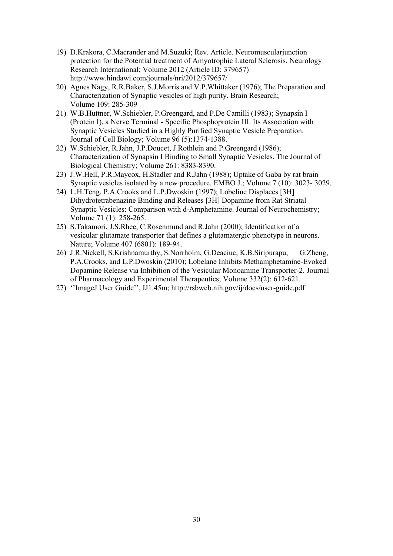- 19) D.Krakora, C.Macrander and M.Suzuki; Rev. Article. Neuromuscularjunction protection for the Potential treatment of Amyotrophic Lateral Sclerosis. Neurology Research International; Volume 2012 (Article ID: 379657) http://www.hindawi.com/journals/nri/2012/379657/
- 20) Agnes Nagy, R.R.Baker, S.J.Morris and V.P.Whittaker (1976); The Preparation and Characterization of Synaptic vesicles of high purity. Brain Research; Volume 109: 285-309
- 21) W.B.Huttner, W.Schiebler, P.Greengard, and P.De Camilli (1983); Synapsin I (Protein I), a Nerve Terminal - Specific Phosphoprotein III. Its Association with Synaptic Vesicles Studied in a Highly Purified Synaptic Vesicle Preparation. Journal of Cell Biology; Volume 96 (5):1374-1388.
- 22) W.Schiebler, R.Jahn, J.P.Doucet, J.Rothlein and P.Greengard (1986); Characterization of Synapsin I Binding to Small Synaptic Vesicles. The Journal of Biological Chemistry; Volume 261: 8383-8390.
- 23) J.W.Hell, P.R.Maycox, H.Stadler and R.Jahn (1988); Uptake of Gaba by rat brain Synaptic vesicles isolated by a new procedure. EMBO J.; Volume 7 (10): 3023- 3029.
- 24) L.H.Teng, P.A.Crooks and L.P.Dwoskin (1997); Lobeline Displaces [3H] Dihydrotetrabenazine Binding and Releases [3H] Dopamine from Rat Striatal Synaptic Vesicles: Comparison with d-Amphetamine. Journal of Neurochemistry; Volume 71 (1): 258-265.
- 25) S.Takamori, J.S.Rhee, C.Rosenmund and R.Jahn (2000); Identification of a vesicular glutamate transporter that defines a glutamatergic phenotype in neurons. Nature; Volume 407 (6801): 189-94.
- 26) J.R.Nickell, S.Krishnamurthy, S.Norrholm, G.Deaciuc, K.B.Siripurapu, G.Zheng, P.A.Crooks, and L.P.Dwoskin (2010); Lobelane Inhibits Methamphetamine-Evoked Dopamine Release via Inhibition of the Vesicular Monoamine Transporter-2. Journal of Pharmacology and Experimental Therapeutics; Volume 332(2): 612-621.
- 27) ''ImageJ User Guide'', IJ1.45m; http://rsbweb.nih.gov/ij/docs/user-guide.pdf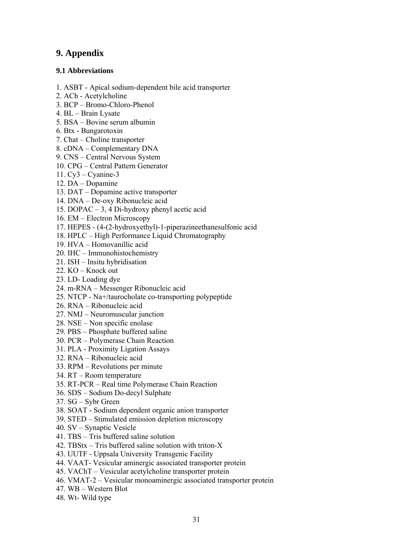# **9. Appendix**

## **9.1 Abbreviations**

- 1. ASBT Apical sodium-dependent bile acid transporter
- 2. ACh Acetylcholine
- 3. BCP Bromo-Chloro-Phenol
- 4. BL Brain Lysate
- 5. BSA Bovine serum albumin
- 6. Btx Bungarotoxin
- 7. Chat Choline transporter
- 8. cDNA Complementary DNA
- 9. CNS Central Nervous System
- 10. CPG Central Pattern Generator
- 11. Cy3 Cyanine-3
- 12. DA Dopamine
- 13. DAT Dopamine active transporter
- 14. DNA De-oxy Ribonucleic acid
- 15. DOPAC 3, 4 Di-hydroxy phenyl acetic acid
- 16. EM Electron Microscopy
- 17. HEPES (4-(2-hydroxyethyl)-1-piperazineethanesulfonic acid
- 18. HPLC High Performance Liquid Chromatography
- 19. HVA Homovanillic acid
- 20. IHC Immunohistochemistry
- 21. ISH Insitu hybridisation
- 22. KO Knock out
- 23. LD- Loading dye
- 24. m-RNA Messenger Ribonucleic acid
- 25. NTCP Na+/taurocholate co-transporting polypeptide
- 26. RNA Ribonucleic acid
- 27. NMJ Neuromuscular junction
- 28. NSE Non specific enolase
- 29. PBS Phosphate buffered saline
- 30. PCR Polymerase Chain Reaction
- 31. PLA Proximity Ligation Assays
- 32. RNA Ribonucleic acid
- 33. RPM Revolutions per minute
- 34. RT Room temperature
- 35. RT-PCR Real time Polymerase Chain Reaction
- 36. SDS Sodium Do-decyl Sulphate
- 37. SG Sybr Green
- 38. SOAT Sodium dependent organic anion transporter
- 39. STED Stimulated emission depletion microscopy
- 40. SV Synaptic Vesicle
- 41. TBS Tris buffered saline solution
- 42. TBStx Tris buffered saline solution with triton-X
- 43. UUTF Uppsala University Transgenic Facility
- 44. VAAT- Vesicular aminergic associated transporter protein
- 45. VAChT Vesicular acetylcholine transporter protein
- 46. VMAT-2 Vesicular monoaminergic associated transporter protein
- 47. WB Western Blot
- 48. Wt- Wild type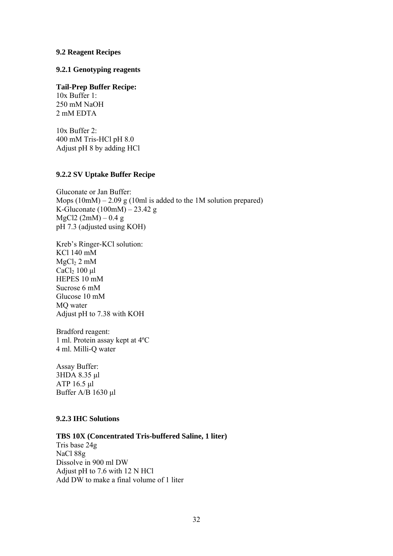#### **9.2 Reagent Recipes**

**9.2.1 Genotyping reagents** 

**Tail-Prep Buffer Recipe:**  10x Buffer 1: 250 mM NaOH 2 mM EDTA

10x Buffer 2: 400 mM Tris-HCl pH 8.0 Adjust pH 8 by adding HCl

#### **9.2.2 SV Uptake Buffer Recipe**

Gluconate or Jan Buffer: Mops  $(10 \text{m}) - 2.09 \text{ g} (10 \text{m})$  is added to the 1M solution prepared) K-Gluconate (100mM) – 23.42 g  $MgCl2 (2mM) - 0.4 g$ pH 7.3 (adjusted using KOH)

Kreb's Ringer-KCl solution: KCl 140 mM  $MgCl<sub>2</sub> 2 mM$ CaCl2 100 μl HEPES 10 mM Sucrose 6 mM Glucose 10 mM MQ water Adjust pH to 7.38 with KOH

Bradford reagent: 1 ml. Protein assay kept at 4ºC 4 ml. Milli-Q water

Assay Buffer: 3HDA 8.35 μl ATP 16.5 μl Buffer A/B 1630 μl

#### **9.2.3 IHC Solutions**

#### **TBS 10X (Concentrated Tris-buffered Saline, 1 liter)**

Tris base 24g NaCl 88g Dissolve in 900 ml DW Adjust pH to 7.6 with 12 N HCl Add DW to make a final volume of 1 liter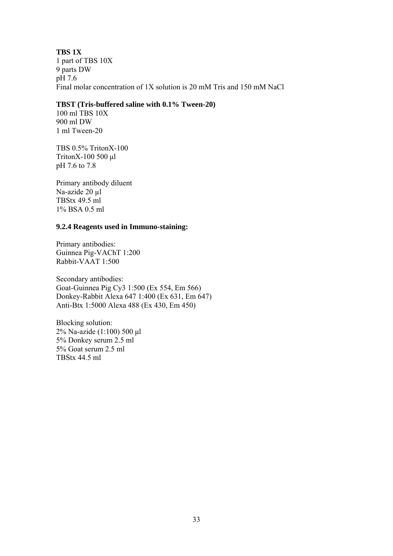#### **TBS 1X**  1 part of TBS 10X 9 parts DW pH 7.6 Final molar concentration of 1X solution is 20 mM Tris and 150 mM NaCl

#### **TBST (Tris-buffered saline with 0.1% Tween-20)**

100 ml TBS 10X 900 ml DW 1 ml Tween-20

TBS 0.5% TritonX-100 TritonX-100 500 μl pH 7.6 to 7.8

Primary antibody diluent Na-azide 20 µl TBStx 49.5 ml 1% BSA 0.5 ml

#### **9.2.4 Reagents used in Immuno-staining:**

Primary antibodies: Guinnea Pig-VAChT 1:200 Rabbit-VAAT 1:500

Secondary antibodies: Goat-Guinnea Pig Cy3 1:500 (Ex 554, Em 566) Donkey-Rabbit Alexa 647 1:400 (Ex 631, Em 647) Anti-Btx 1:5000 Alexa 488 (Ex 430, Em 450)

Blocking solution: 2% Na-azide (1:100) 500 μl 5% Donkey serum 2.5 ml 5% Goat serum 2.5 ml TBStx 44.5 ml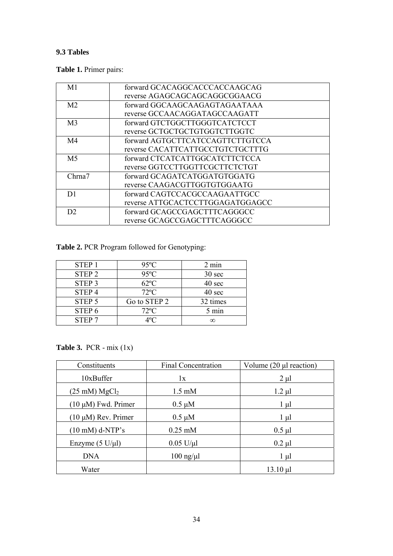# **9.3 Tables**

**Table 1.** Primer pairs:

| M <sub>1</sub> | forward GCACAGGCACCCACCAAGCAG    |
|----------------|----------------------------------|
|                | reverse AGAGCAGCAGCAGGCGGAACG    |
| M <sub>2</sub> | forward GGCAAGCAAGAGTAGAATAAA    |
|                | reverse GCCAACAGGATAGCCAAGATT    |
| M <sub>3</sub> | forward GTCTGGCTTGGGTCATCTCCT    |
|                | reverse GCTGCTGCTGTGGTCTTGGTC    |
| M <sub>4</sub> | forward AGTGCTTCATCCAGTTCTTGTCCA |
|                | reverse CACATTCATTGCCTGTCTGCTTTG |
| M <sub>5</sub> | forward CTCATCATTGGCATCTTCTCCA   |
|                | reverse GGTCCTTGGTTCGCTTCTCTGT   |
| Chrna7         | forward GCAGATCATGGATGTGGATG     |
|                | reverse CAAGACGTTGGTGTGGAATG     |
| D1             | forward CAGTCCACGCCAAGAATTGCC    |
|                | reverse ATTGCACTCCTTGGAGATGGAGCC |
| D2             | forward GCAGCCGAGCTTTCAGGGCC     |
|                | reverse GCAGCCGAGCTTTCAGGGCC     |

**Table 2.** PCR Program followed for Genotyping:

| <b>STEP1</b>      | $95^{\circ}$ C | $2 \text{ min}$ |
|-------------------|----------------|-----------------|
| STEP <sub>2</sub> | $95^{\circ}$ C | 30 sec          |
| STEP <sub>3</sub> | $62^{\circ}$ C | 40 sec          |
| STEP <sub>4</sub> | $72^{\circ}C$  | 40 sec          |
| STEP <sub>5</sub> | Go to STEP 2   | 32 times        |
| STEP <sub>6</sub> | $72^{\circ}C$  | 5 min           |
| STEP <sub>7</sub> | ⊿∘∩            |                 |

**Table 3.** PCR - mix (1x)

| Constituents                       | <b>Final Concentration</b> | Volume $(20 \mu l$ reaction) |
|------------------------------------|----------------------------|------------------------------|
| 10xBuffer                          | 1x                         | $2 \mu l$                    |
| $(25 \text{ mM}) \text{ MgCl}_2$   | $1.5 \text{ mM}$           | $1.2 \mu l$                  |
| $(10 \mu M)$ Fwd. Primer           | $0.5 \mu M$                | $1 \mu l$                    |
| $(10 \mu M)$ Rev. Primer           | $0.5 \mu M$                | $1 \mu l$                    |
| $(10 \text{ mM})$ d-NTP's          | $0.25$ mM                  | $0.5$ µl                     |
| Enzyme $(5 \text{ U}/\mu\text{l})$ | $0.05$ U/ $\mu$ l          | $0.2 \mu l$                  |
| <b>DNA</b>                         | $100 \text{ ng/µl}$        | $1 \mu l$                    |
| Water                              |                            | $13.10 \mu l$                |